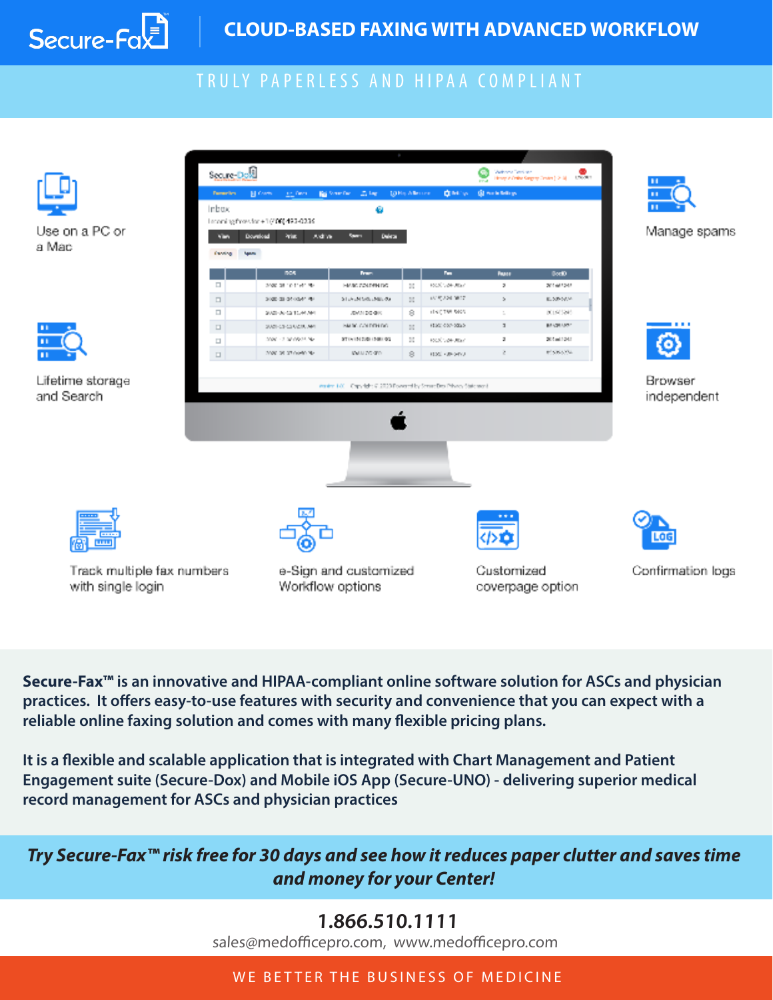

# TRULY PAPERLESS AND HIPAA COMPLIANT

|                                                 | Secure Dos                     |                                                                                          |                                                                  |                  |                                |                        | $\label{eq:3} \begin{picture}(20,10) \put(0,0){\line(1,0){10}} \put(0,0){\line(1,0){10}} \put(0,0){\line(1,0){10}} \put(0,0){\line(1,0){10}} \put(0,0){\line(1,0){10}} \put(0,0){\line(1,0){10}} \put(0,0){\line(1,0){10}} \put(0,0){\line(1,0){10}} \put(0,0){\line(1,0){10}} \put(0,0){\line(1,0){10}} \put(0,0){\line(1,0){10}} \put(0,0){\line(1,0){1$ |                        |
|-------------------------------------------------|--------------------------------|------------------------------------------------------------------------------------------|------------------------------------------------------------------|------------------|--------------------------------|------------------------|------------------------------------------------------------------------------------------------------------------------------------------------------------------------------------------------------------------------------------------------------------------------------------------------------------------------------------------------------------|------------------------|
|                                                 | <b>Pamaritrs</b><br>Inbox      | <b>B</b> Com<br>are favor.                                                               | <b>LE Me</b><br><b>But Some Day</b><br>ø                         | LO His Allen one | <b>QM</b> W                    | <b>GI Sole Million</b> |                                                                                                                                                                                                                                                                                                                                                            |                        |
| Use on a PC or<br>a Mac                         | <b>STAR</b><br><b>District</b> | Intoning frontier +1(406) 493-0236<br>Adive<br>Download<br><b>Ariat</b><br><b>Sparrs</b> | Deleter<br>Spare                                                 |                  |                                |                        |                                                                                                                                                                                                                                                                                                                                                            | Manage spams           |
|                                                 |                                | <b>DOS</b>                                                                               | <b>Fran</b>                                                      |                  | Pm.                            | <b>Pages</b>           | <b>Booth</b>                                                                                                                                                                                                                                                                                                                                               |                        |
|                                                 | $\Box$                         | ange at relative mu-                                                                     | HARD ADAPTING                                                    | н                | 1005 V2H-80x7                  | ,                      | 2014/12/19                                                                                                                                                                                                                                                                                                                                                 |                        |
|                                                 | $\Box$                         | 3000 03:05:00 P. W.                                                                      | STEAM MOLARED OF                                                 | $\mathbb{H}$     | 1515, 204, 3017                | $\lambda$              | E. 509-5674                                                                                                                                                                                                                                                                                                                                                |                        |
|                                                 | $\Box$                         | \$525-06-02 10:00 MH                                                                     | JEWIN DO GIRL                                                    | 8                | HISTORICOS                     | ÷                      | 80,90386                                                                                                                                                                                                                                                                                                                                                   |                        |
| n                                               | $\Box$                         | SAND-CO-CO-UZ RUNA AM                                                                    | <b>BAIN CALDINARY</b>                                            | $\mathbb{H}$     | FESC COP-0053                  | $\mathbf{I}$           | BEACH AND !                                                                                                                                                                                                                                                                                                                                                |                        |
|                                                 | $\Box$                         | 2000 - 213/10/03/2016                                                                    | STENTED SUBJECTION                                               | Ш                | 1005 VOIF JRW                  | a.                     | 2014/12/11                                                                                                                                                                                                                                                                                                                                                 |                        |
|                                                 | $\Box$                         | 2000 08:07 06:50 PM                                                                      | MAIN 20 GEO.                                                     | 8                | <b>FIXE KINGINA</b>            | č.                     | <b>PESKATA</b>                                                                                                                                                                                                                                                                                                                                             |                        |
| Lifetime storage<br>and Search                  |                                |                                                                                          | Andre 100 Cap, 98:19.2020 Fowerelly, Strandbo Privacy Statement. |                  |                                |                        |                                                                                                                                                                                                                                                                                                                                                            | Browser<br>independent |
|                                                 |                                |                                                                                          |                                                                  |                  |                                |                        |                                                                                                                                                                                                                                                                                                                                                            |                        |
| <b>TITLE</b>                                    |                                |                                                                                          |                                                                  |                  |                                | םי                     |                                                                                                                                                                                                                                                                                                                                                            | LOG                    |
| Track multiple fax numbers<br>with single login |                                | e-Sign and customized<br>Workflow options                                                |                                                                  |                  | Customized<br>coverpage option |                        | Confirmation logs                                                                                                                                                                                                                                                                                                                                          |                        |

**Secure-Fax™ is an innovative and HIPAA-compliant online software solution for ASCs and physician practices. It offers easy-to-use features with security and convenience that you can expect with a reliable online faxing solution and comes with many flexible pricing plans.**

**It is a flexible and scalable application that is integrated with Chart Management and Patient Engagement suite (Secure-Dox) and Mobile iOS App (Secure-UNO) - delivering superior medical record management for ASCs and physician practices** 

*Try Secure-Fax™ risk free for 30 days and see how it reduces paper clutter and saves time and money for your Center!*

## **1.866.510.1111**

sales@medofficepro.com, www.medofficepro.com

#### WE BETTER THE BUSINESS OF MEDICINE